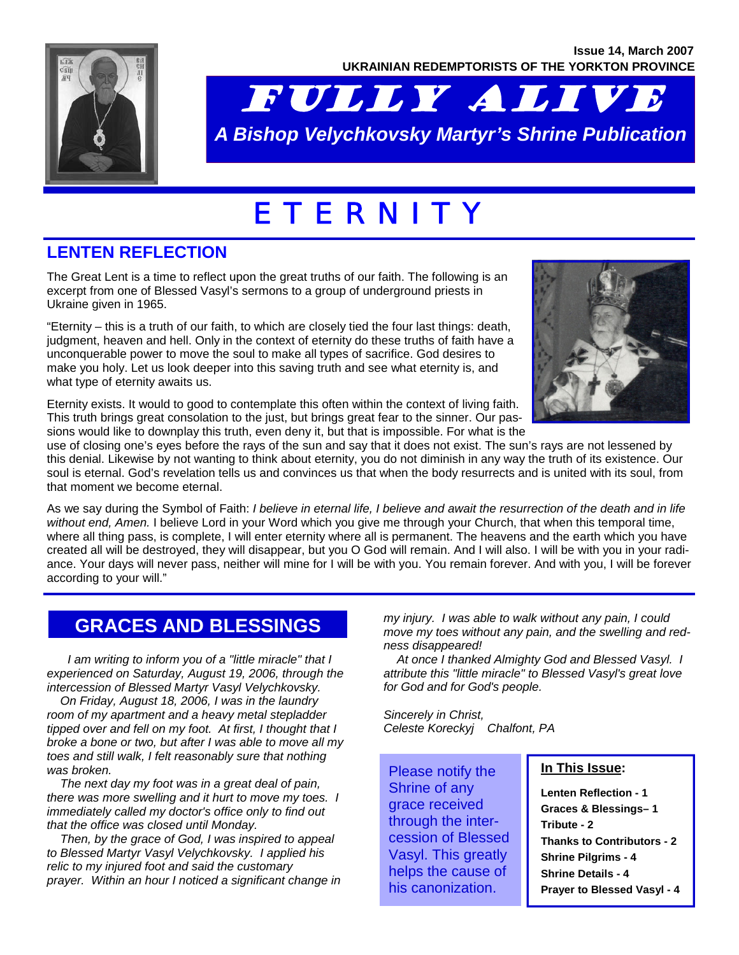

# FULLY ALIVE *A Bishop Velychkovsky Martyr's Shrine Publication*

# E T E R N I T Y

## **LENTEN REFLECTION**

The Great Lent is a time to reflect upon the great truths of our faith. The following is an excerpt from one of Blessed Vasyl's sermons to a group of underground priests in Ukraine given in 1965.

"Eternity – this is a truth of our faith, to which are closely tied the four last things: death, judgment, heaven and hell. Only in the context of eternity do these truths of faith have a unconquerable power to move the soul to make all types of sacrifice. God desires to make you holy. Let us look deeper into this saving truth and see what eternity is, and what type of eternity awaits us.



Eternity exists. It would to good to contemplate this often within the context of living faith. This truth brings great consolation to the just, but brings great fear to the sinner. Our passions would like to downplay this truth, even deny it, but that is impossible. For what is the

use of closing one's eyes before the rays of the sun and say that it does not exist. The sun's rays are not lessened by this denial. Likewise by not wanting to think about eternity, you do not diminish in any way the truth of its existence. Our soul is eternal. God's revelation tells us and convinces us that when the body resurrects and is united with its soul, from that moment we become eternal.

As we say during the Symbol of Faith: *I believe in eternal life, I believe and await the resurrection of the death and in life without end, Amen.* I believe Lord in your Word which you give me through your Church, that when this temporal time, where all thing pass, is complete, I will enter eternity where all is permanent. The heavens and the earth which you have created all will be destroyed, they will disappear, but you O God will remain. And I will also. I will be with you in your radiance. Your days will never pass, neither will mine for I will be with you. You remain forever. And with you, I will be forever according to your will."

## **GRACES AND BLESSINGS**

 *I am writing to inform you of a "little miracle" that I experienced on Saturday, August 19, 2006, through the intercession of Blessed Martyr Vasyl Velychkovsky.* 

 *On Friday, August 18, 2006, I was in the laundry room of my apartment and a heavy metal stepladder tipped over and fell on my foot. At first, I thought that I broke a bone or two, but after I was able to move all my toes and still walk, I felt reasonably sure that nothing was broken.* 

 *The next day my foot was in a great deal of pain, there was more swelling and it hurt to move my toes. I immediately called my doctor's office only to find out that the office was closed until Monday.* 

 *Then, by the grace of God, I was inspired to appeal to Blessed Martyr Vasyl Velychkovsky. I applied his relic to my injured foot and said the customary prayer. Within an hour I noticed a significant change in*  *my injury. I was able to walk without any pain, I could move my toes without any pain, and the swelling and redness disappeared!* 

 *At once I thanked Almighty God and Blessed Vasyl. I attribute this "little miracle" to Blessed Vasyl's great love for God and for God's people.* 

*Sincerely in Christ, Celeste Koreckyj Chalfont, PA* 

Please notify the Shrine of any grace received through the intercession of Blessed Vasyl. This greatly helps the cause of his canonization.

#### **In This Issue:**

**Lenten Reflection - 1 Graces & Blessings– 1 Tribute - 2 Thanks to Contributors - 2 Shrine Pilgrims - 4 Shrine Details - 4 Prayer to Blessed Vasyl - 4**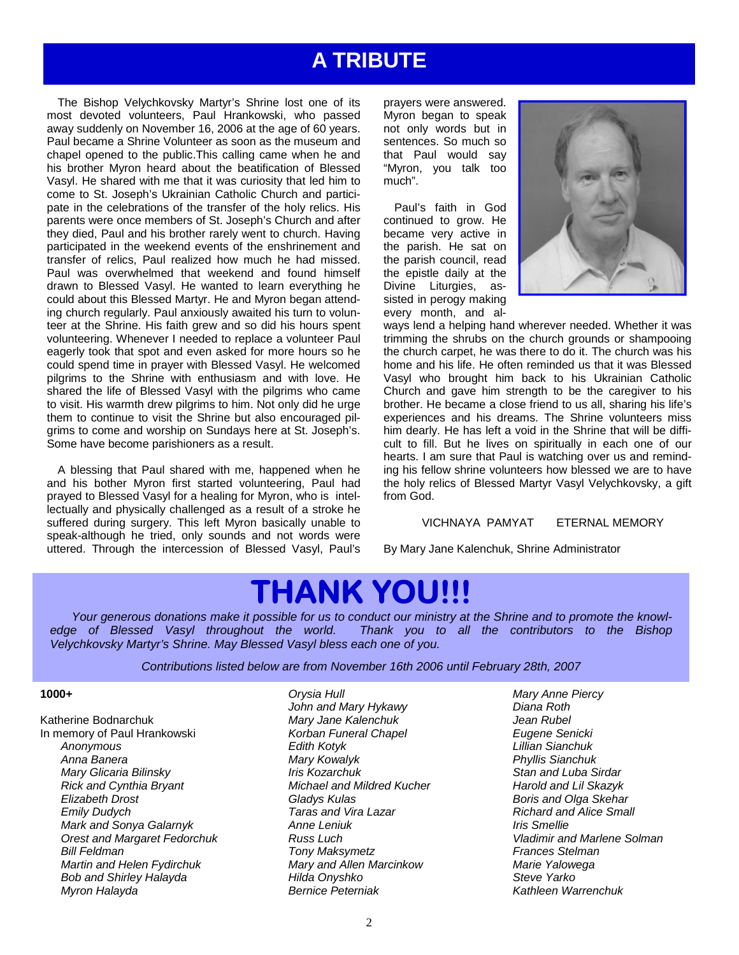## **A TRIBUTE**

 The Bishop Velychkovsky Martyr's Shrine lost one of its most devoted volunteers, Paul Hrankowski, who passed away suddenly on November 16, 2006 at the age of 60 years. Paul became a Shrine Volunteer as soon as the museum and chapel opened to the public.This calling came when he and his brother Myron heard about the beatification of Blessed Vasyl. He shared with me that it was curiosity that led him to come to St. Joseph's Ukrainian Catholic Church and participate in the celebrations of the transfer of the holy relics. His parents were once members of St. Joseph's Church and after they died, Paul and his brother rarely went to church. Having participated in the weekend events of the enshrinement and transfer of relics, Paul realized how much he had missed. Paul was overwhelmed that weekend and found himself drawn to Blessed Vasyl. He wanted to learn everything he could about this Blessed Martyr. He and Myron began attending church regularly. Paul anxiously awaited his turn to volunteer at the Shrine. His faith grew and so did his hours spent volunteering. Whenever I needed to replace a volunteer Paul eagerly took that spot and even asked for more hours so he could spend time in prayer with Blessed Vasyl. He welcomed pilgrims to the Shrine with enthusiasm and with love. He shared the life of Blessed Vasyl with the pilgrims who came to visit. His warmth drew pilgrims to him. Not only did he urge them to continue to visit the Shrine but also encouraged pilgrims to come and worship on Sundays here at St. Joseph's. Some have become parishioners as a result.

 A blessing that Paul shared with me, happened when he and his bother Myron first started volunteering, Paul had prayed to Blessed Vasyl for a healing for Myron, who is intellectually and physically challenged as a result of a stroke he suffered during surgery. This left Myron basically unable to speak-although he tried, only sounds and not words were uttered. Through the intercession of Blessed Vasyl, Paul's prayers were answered. Myron began to speak not only words but in sentences. So much so that Paul would say "Myron, you talk too much".

 Paul's faith in God continued to grow. He became very active in the parish. He sat on the parish council, read the epistle daily at the Divine Liturgies, assisted in perogy making every month, and al-



ways lend a helping hand wherever needed. Whether it was trimming the shrubs on the church grounds or shampooing the church carpet, he was there to do it. The church was his home and his life. He often reminded us that it was Blessed Vasyl who brought him back to his Ukrainian Catholic Church and gave him strength to be the caregiver to his brother. He became a close friend to us all, sharing his life's experiences and his dreams. The Shrine volunteers miss him dearly. He has left a void in the Shrine that will be difficult to fill. But he lives on spiritually in each one of our hearts. I am sure that Paul is watching over us and reminding his fellow shrine volunteers how blessed we are to have the holy relics of Blessed Martyr Vasyl Velychkovsky, a gift from God.

#### VICHNAYA PAMYAT ETERNAL MEMORY

By Mary Jane Kalenchuk, Shrine Administrator

# **THANK YOU!!!**

*Your generous donations make it possible for us to conduct our ministry at the Shrine and to promote the knowledge of Blessed Vasyl throughout the world. Thank you to all the contributors to the Bishop Velychkovsky Martyr's Shrine. May Blessed Vasyl bless each one of you.* 

*Contributions listed below are from November 16th 2006 until February 28th, 2007* 

#### **1000+**

Katherine Bodnarchuk In memory of Paul Hrankowski *Anonymous Anna Banera Mary Glicaria Bilinsky Rick and Cynthia Bryant Elizabeth Drost Emily Dudych Mark and Sonya Galarnyk Orest and Margaret Fedorchuk Bill Feldman Martin and Helen Fydirchuk Bob and Shirley Halayda Myron Halayda* 

 *Orysia Hull John and Mary Hykawy Mary Jane Kalenchuk Korban Funeral Chapel Edith Kotyk Mary Kowalyk Iris Kozarchuk Michael and Mildred Kucher Gladys Kulas Taras and Vira Lazar Anne Leniuk Russ Luch Tony Maksymetz Mary and Allen Marcinkow Hilda Onyshko Bernice Peterniak* 

 *Mary Anne Piercy Diana Roth Jean Rubel Eugene Senicki Lillian Sianchuk Phyllis Sianchuk Stan and Luba Sirdar Harold and Lil Skazyk Boris and Olga Skehar Richard and Alice Small Iris Smellie Vladimir and Marlene Solman Frances Stelman Marie Yalowega Steve Yarko Kathleen Warrenchuk*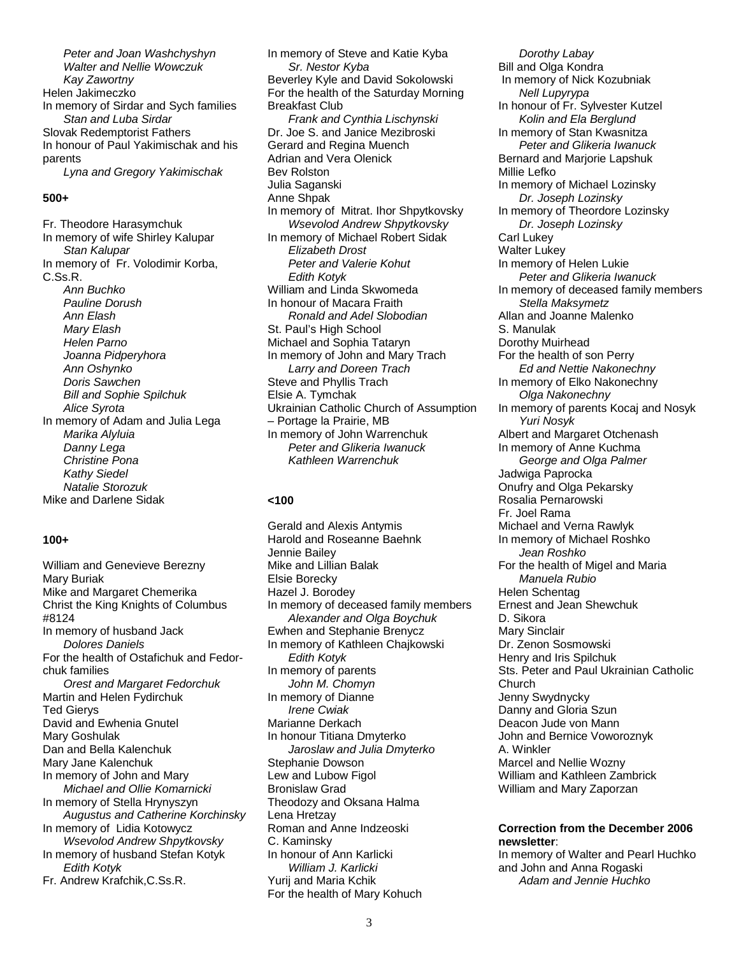*Peter and Joan Washchyshyn Walter and Nellie Wowczuk Kay Zawortny*  Helen Jakimeczko In memory of Sirdar and Sych families *Stan and Luba Sirdar*  Slovak Redemptorist Fathers In honour of Paul Yakimischak and his parents *Lyna and Gregory Yakimischak* 

#### **500+**

Fr. Theodore Harasymchuk In memory of wife Shirley Kalupar *Stan Kalupar*  In memory of Fr. Volodimir Korba, C.Ss.R. *Ann Buchko Pauline Dorush Ann Elash Mary Elash Helen Parno Joanna Pidperyhora Ann Oshynko Doris Sawchen Bill and Sophie Spilchuk Alice Syrota* In memory of Adam and Julia Lega *Marika Alyluia Danny Lega Christine Pona Kathy Siedel Natalie Storozuk*  Mike and Darlene Sidak

#### **100+**

William and Genevieve Berezny Mary Buriak Mike and Margaret Chemerika Christ the King Knights of Columbus #8124 In memory of husband Jack *Dolores Daniels*  For the health of Ostafichuk and Fedorchuk families *Orest and Margaret Fedorchuk*  Martin and Helen Fydirchuk Ted Gierys David and Ewhenia Gnutel Mary Goshulak Dan and Bella Kalenchuk Mary Jane Kalenchuk In memory of John and Mary *Michael and Ollie Komarnicki*  In memory of Stella Hrynyszyn *Augustus and Catherine Korchinsky*  In memory of Lidia Kotowycz  *Wsevolod Andrew Shpytkovsky*  In memory of husband Stefan Kotyk *Edith Kotyk*  Fr. Andrew Krafchik,C.Ss.R.

In memory of Steve and Katie Kyba *Sr. Nestor Kyba*  Beverley Kyle and David Sokolowski For the health of the Saturday Morning Breakfast Club *Frank and Cynthia Lischynski*  Dr. Joe S. and Janice Mezibroski Gerard and Regina Muench Adrian and Vera Olenick Bev Rolston Julia Saganski Anne Shpak In memory of Mitrat. Ihor Shpytkovsky  *Wsevolod Andrew Shpytkovsky*  In memory of Michael Robert Sidak *Elizabeth Drost Peter and Valerie Kohut Edith Kotyk*  William and Linda Skwomeda In honour of Macara Fraith *Ronald and Adel Slobodian*  St. Paul's High School Michael and Sophia Tataryn In memory of John and Mary Trach  *Larry and Doreen Trach*  Steve and Phyllis Trach Elsie A. Tymchak Ukrainian Catholic Church of Assumption – Portage la Prairie, MB In memory of John Warrenchuk *Peter and Glikeria Iwanuck Kathleen Warrenchuk* 

#### **<100**

Gerald and Alexis Antymis Harold and Roseanne Baehnk Jennie Bailey Mike and Lillian Balak Elsie Borecky Hazel J. Borodey In memory of deceased family members *Alexander and Olga Boychuk*  Ewhen and Stephanie Brenycz In memory of Kathleen Chajkowski *Edith Kotyk*  In memory of parents  *John M. Chomyn*  In memory of Dianne  *Irene Cwiak*  Marianne Derkach In honour Titiana Dmyterko *Jaroslaw and Julia Dmyterko*  Stephanie Dowson Lew and Lubow Figol Bronislaw Grad Theodozy and Oksana Halma Lena Hretzay Roman and Anne Indzeoski C. Kaminsky In honour of Ann Karlicki  *William J. Karlicki*  Yurij and Maria Kchik For the health of Mary Kohuch

*Dorothy Labay* Bill and Olga Kondra In memory of Nick Kozubniak *Nell Lupyrypa*  In honour of Fr. Sylvester Kutzel  *Kolin and Ela Berglund*  In memory of Stan Kwasnitza *Peter and Glikeria Iwanuck*  Bernard and Marjorie Lapshuk Millie Lefko In memory of Michael Lozinsky *Dr. Joseph Lozinsky*  In memory of Theordore Lozinsky *Dr. Joseph Lozinsky*  Carl Lukey Walter Lukey In memory of Helen Lukie *Peter and Glikeria Iwanuck*  In memory of deceased family members *Stella Maksymetz*  Allan and Joanne Malenko S. Manulak Dorothy Muirhead For the health of son Perry *Ed and Nettie Nakonechny*  In memory of Elko Nakonechny  *Olga Nakonechny*  In memory of parents Kocaj and Nosyk *Yuri Nosyk*  Albert and Margaret Otchenash In memory of Anne Kuchma *George and Olga Palmer*  Jadwiga Paprocka Onufry and Olga Pekarsky Rosalia Pernarowski Fr. Joel Rama Michael and Verna Rawlyk In memory of Michael Roshko  *Jean Roshko*  For the health of Migel and Maria *Manuela Rubio*  Helen Schentag Ernest and Jean Shewchuk D. Sikora Mary Sinclair Dr. Zenon Sosmowski Henry and Iris Spilchuk Sts. Peter and Paul Ukrainian Catholic Church Jenny Swydnycky Danny and Gloria Szun Deacon Jude von Mann John and Bernice Voworoznyk A. Winkler Marcel and Nellie Wozny William and Kathleen Zambrick William and Mary Zaporzan

#### **Correction from the December 2006 newsletter**:

In memory of Walter and Pearl Huchko and John and Anna Rogaski *Adam and Jennie Huchko*